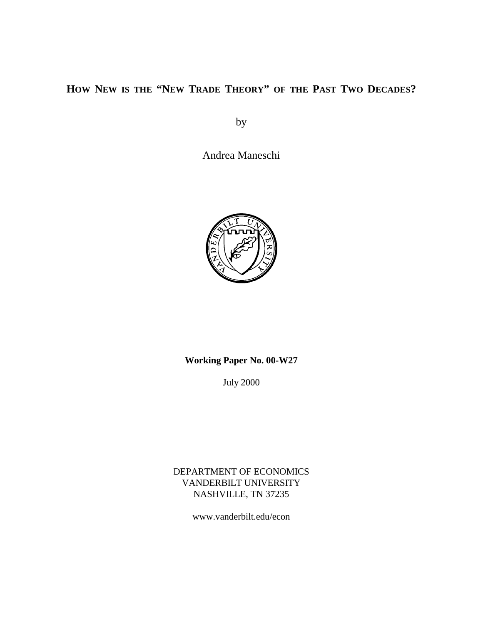# **HOW NEW IS THE "NEW TRADE THEORY" OF THE PAST TWO DECADES?**

by

Andrea Maneschi



**Working Paper No. 00-W27** 

July 2000

DEPARTMENT OF ECONOMICS VANDERBILT UNIVERSITY NASHVILLE, TN 37235

www.vanderbilt.edu/econ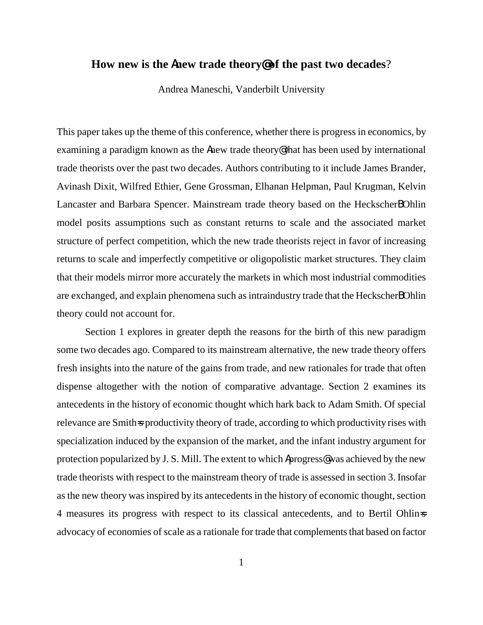# **How new is the** A**new trade theory**@ **of the past two decades**?

Andrea Maneschi, Vanderbilt University

This paper takes up the theme of this conference, whether there is progress in economics, by examining a paradigm known as the Anew trade theory<sup>®</sup> that has been used by international trade theorists over the past two decades. Authors contributing to it include James Brander, Avinash Dixit, Wilfred Ethier, Gene Grossman, Elhanan Helpman, Paul Krugman, Kelvin Lancaster and Barbara Spencer. Mainstream trade theory based on the HeckscherBOhlin model posits assumptions such as constant returns to scale and the associated market structure of perfect competition, which the new trade theorists reject in favor of increasing returns to scale and imperfectly competitive or oligopolistic market structures. They claim that their models mirror more accurately the markets in which most industrial commodities are exchanged, and explain phenomena such as intraindustry trade that the HeckscherBOhlin theory could not account for.

Section 1 explores in greater depth the reasons for the birth of this new paradigm some two decades ago. Compared to its mainstream alternative, the new trade theory offers fresh insights into the nature of the gains from trade, and new rationales for trade that often dispense altogether with the notion of comparative advantage. Section 2 examines its antecedents in the history of economic thought which hark back to Adam Smith. Of special relevance are Smith-s productivity theory of trade, according to which productivity rises with specialization induced by the expansion of the market, and the infant industry argument for protection popularized by J. S. Mill. The extent to which Aprogress<sup>®</sup> was achieved by the new trade theorists with respect to the mainstream theory of trade is assessed in section 3. Insofar as the new theory was inspired by its antecedents in the history of economic thought, section 4 measures its progress with respect to its classical antecedents, and to Bertil Ohlin=s advocacy of economies of scale as a rationale for trade that complements that based on factor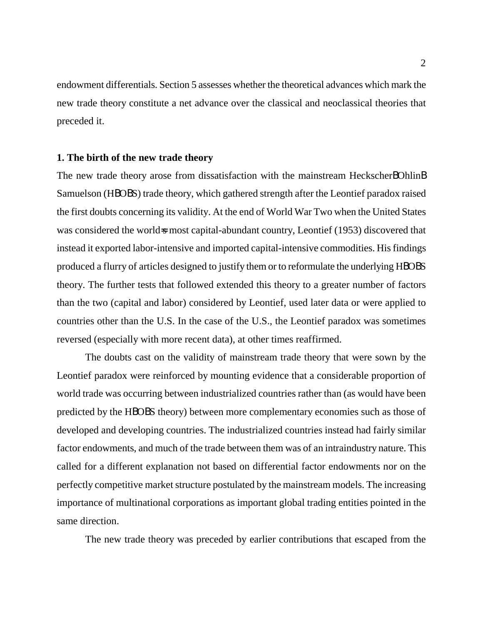endowment differentials. Section 5 assesses whether the theoretical advances which mark the new trade theory constitute a net advance over the classical and neoclassical theories that preceded it.

## **1. The birth of the new trade theory**

The new trade theory arose from dissatisfaction with the mainstream HeckscherBOhlinB Samuelson (HBOBS) trade theory, which gathered strength after the Leontief paradox raised the first doubts concerning its validity. At the end of World War Two when the United States was considered the world=s most capital-abundant country, Leontief (1953) discovered that instead it exported labor-intensive and imported capital-intensive commodities. His findings produced a flurry of articles designed to justify them or to reformulate the underlying HBOBS theory. The further tests that followed extended this theory to a greater number of factors than the two (capital and labor) considered by Leontief, used later data or were applied to countries other than the U.S. In the case of the U.S., the Leontief paradox was sometimes reversed (especially with more recent data), at other times reaffirmed.

The doubts cast on the validity of mainstream trade theory that were sown by the Leontief paradox were reinforced by mounting evidence that a considerable proportion of world trade was occurring between industrialized countries rather than (as would have been predicted by the HBOBS theory) between more complementary economies such as those of developed and developing countries. The industrialized countries instead had fairly similar factor endowments, and much of the trade between them was of an intraindustry nature. This called for a different explanation not based on differential factor endowments nor on the perfectly competitive market structure postulated by the mainstream models. The increasing importance of multinational corporations as important global trading entities pointed in the same direction.

The new trade theory was preceded by earlier contributions that escaped from the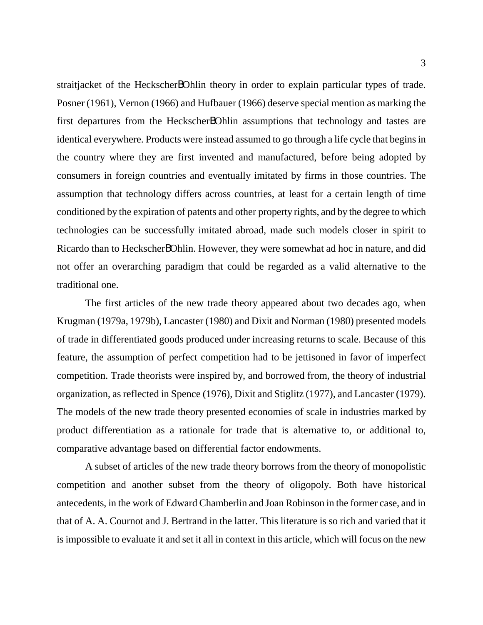straitjacket of the HeckscherBOhlin theory in order to explain particular types of trade. Posner (1961), Vernon (1966) and Hufbauer (1966) deserve special mention as marking the first departures from the HeckscherBOhlin assumptions that technology and tastes are identical everywhere. Products were instead assumed to go through a life cycle that begins in the country where they are first invented and manufactured, before being adopted by consumers in foreign countries and eventually imitated by firms in those countries. The assumption that technology differs across countries, at least for a certain length of time conditioned by the expiration of patents and other property rights, and by the degree to which technologies can be successfully imitated abroad, made such models closer in spirit to Ricardo than to HeckscherBOhlin. However, they were somewhat ad hoc in nature, and did not offer an overarching paradigm that could be regarded as a valid alternative to the traditional one.

The first articles of the new trade theory appeared about two decades ago, when Krugman (1979a, 1979b), Lancaster (1980) and Dixit and Norman (1980) presented models of trade in differentiated goods produced under increasing returns to scale. Because of this feature, the assumption of perfect competition had to be jettisoned in favor of imperfect competition. Trade theorists were inspired by, and borrowed from, the theory of industrial organization, as reflected in Spence (1976), Dixit and Stiglitz (1977), and Lancaster (1979). The models of the new trade theory presented economies of scale in industries marked by product differentiation as a rationale for trade that is alternative to, or additional to, comparative advantage based on differential factor endowments.

A subset of articles of the new trade theory borrows from the theory of monopolistic competition and another subset from the theory of oligopoly. Both have historical antecedents, in the work of Edward Chamberlin and Joan Robinson in the former case, and in that of A. A. Cournot and J. Bertrand in the latter. This literature is so rich and varied that it is impossible to evaluate it and set it all in context in this article, which will focus on the new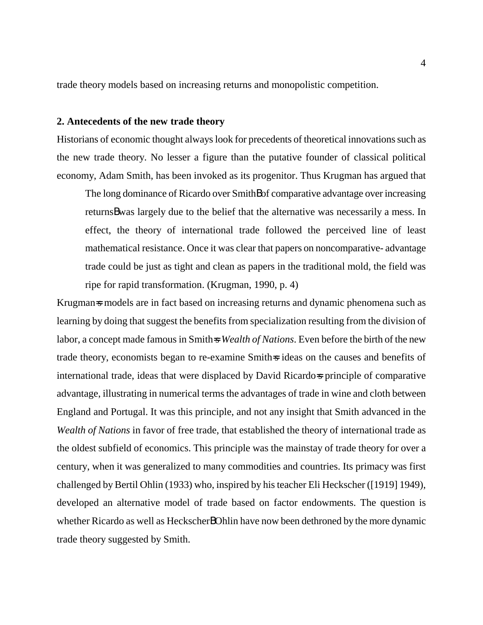trade theory models based on increasing returns and monopolistic competition.

#### **2. Antecedents of the new trade theory**

Historians of economic thought always look for precedents of theoretical innovations such as the new trade theory. No lesser a figure than the putative founder of classical political economy, Adam Smith, has been invoked as its progenitor. Thus Krugman has argued that

 The long dominance of Ricardo over SmithBof comparative advantage over increasing returnsBwas largely due to the belief that the alternative was necessarily a mess. In effect, the theory of international trade followed the perceived line of least mathematical resistance. Once it was clear that papers on noncomparative- advantage trade could be just as tight and clean as papers in the traditional mold, the field was ripe for rapid transformation. (Krugman, 1990, p. 4)

Krugman=s models are in fact based on increasing returns and dynamic phenomena such as learning by doing that suggest the benefits from specialization resulting from the division of labor, a concept made famous in Smith=s *Wealth of Nations*. Even before the birth of the new trade theory, economists began to re-examine Smith=s ideas on the causes and benefits of international trade, ideas that were displaced by David Ricardo=s principle of comparative advantage, illustrating in numerical terms the advantages of trade in wine and cloth between England and Portugal. It was this principle, and not any insight that Smith advanced in the *Wealth of Nations* in favor of free trade, that established the theory of international trade as the oldest subfield of economics. This principle was the mainstay of trade theory for over a century, when it was generalized to many commodities and countries. Its primacy was first challenged by Bertil Ohlin (1933) who, inspired by his teacher Eli Heckscher ([1919] 1949), developed an alternative model of trade based on factor endowments. The question is whether Ricardo as well as HeckscherBOhlin have now been dethroned by the more dynamic trade theory suggested by Smith.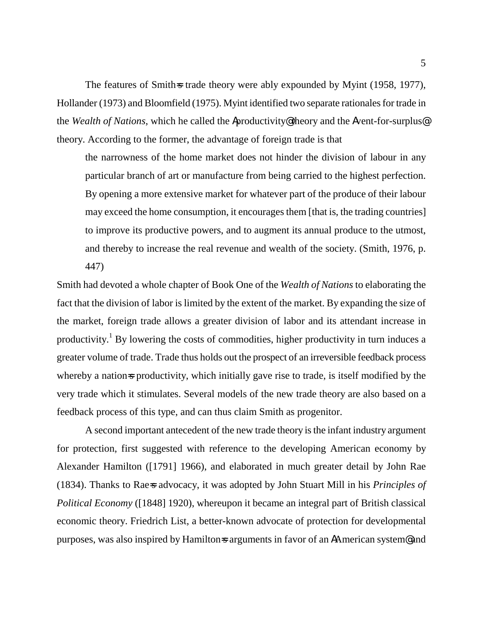The features of Smith=s trade theory were ably expounded by Myint (1958, 1977), Hollander (1973) and Bloomfield (1975). Myint identified two separate rationales for trade in the *Wealth of Nations*, which he called the Aproductivity<sup>®</sup> theory and the Avent-for-surplus<sup>®</sup> theory. According to the former, the advantage of foreign trade is that

the narrowness of the home market does not hinder the division of labour in any particular branch of art or manufacture from being carried to the highest perfection. By opening a more extensive market for whatever part of the produce of their labour may exceed the home consumption, it encourages them [that is, the trading countries] to improve its productive powers, and to augment its annual produce to the utmost, and thereby to increase the real revenue and wealth of the society. (Smith, 1976, p. 447)

Smith had devoted a whole chapter of Book One of the *Wealth of Nations* to elaborating the fact that the division of labor is limited by the extent of the market. By expanding the size of the market, foreign trade allows a greater division of labor and its attendant increase in productivity.<sup>1</sup> By lowering the costs of commodities, higher productivity in turn induces a greater volume of trade. Trade thus holds out the prospect of an irreversible feedback process whereby a nation-s productivity, which initially gave rise to trade, is itself modified by the very trade which it stimulates. Several models of the new trade theory are also based on a feedback process of this type, and can thus claim Smith as progenitor.

A second important antecedent of the new trade theory is the infant industry argument for protection, first suggested with reference to the developing American economy by Alexander Hamilton ([1791] 1966), and elaborated in much greater detail by John Rae (1834). Thanks to Rae=s advocacy, it was adopted by John Stuart Mill in his *Principles of Political Economy* ([1848] 1920), whereupon it became an integral part of British classical economic theory. Friedrich List, a better-known advocate of protection for developmental purposes, was also inspired by Hamilton=s arguments in favor of an AAmerican system@ and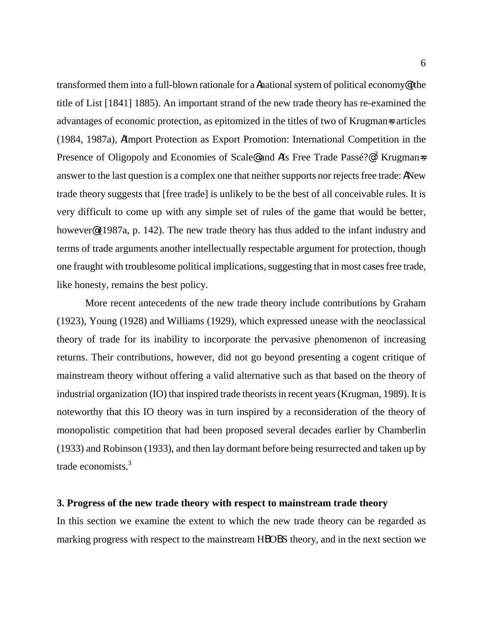transformed them into a full-blown rationale for a Anational system of political economy@ (the title of List [1841] 1885). An important strand of the new trade theory has re-examined the advantages of economic protection, as epitomized in the titles of two of Krugman=s articles (1984, 1987a), AImport Protection as Export Promotion: International Competition in the Presence of Oligopoly and Economies of Scale<sup>®</sup> and AIs Free Trade Passé?®.<sup>2</sup> Krugman=s answer to the last question is a complex one that neither supports nor rejects free trade: ANew trade theory suggests that [free trade] is unlikely to be the best of all conceivable rules. It is very difficult to come up with any simple set of rules of the game that would be better, however<sup>®</sup> (1987a, p. 142). The new trade theory has thus added to the infant industry and terms of trade arguments another intellectually respectable argument for protection, though one fraught with troublesome political implications, suggesting that in most cases free trade, like honesty, remains the best policy.

More recent antecedents of the new trade theory include contributions by Graham (1923), Young (1928) and Williams (1929), which expressed unease with the neoclassical theory of trade for its inability to incorporate the pervasive phenomenon of increasing returns. Their contributions, however, did not go beyond presenting a cogent critique of mainstream theory without offering a valid alternative such as that based on the theory of industrial organization (IO) that inspired trade theorists in recent years (Krugman, 1989). It is noteworthy that this IO theory was in turn inspired by a reconsideration of the theory of monopolistic competition that had been proposed several decades earlier by Chamberlin (1933) and Robinson (1933), and then lay dormant before being resurrected and taken up by trade economists.3

## **3. Progress of the new trade theory with respect to mainstream trade theory**

In this section we examine the extent to which the new trade theory can be regarded as marking progress with respect to the mainstream HBOBS theory, and in the next section we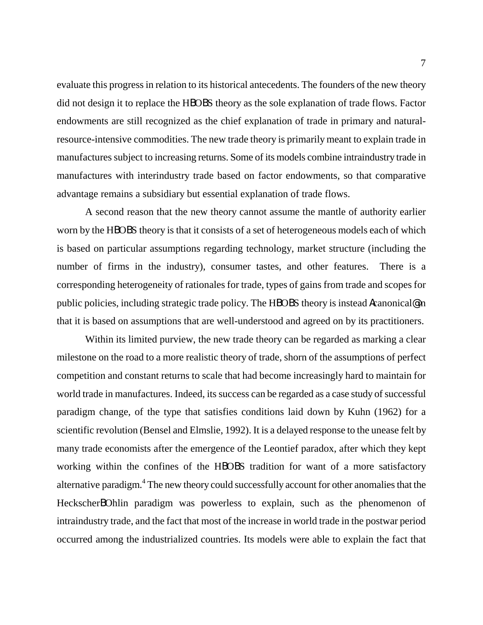evaluate this progress in relation to its historical antecedents. The founders of the new theory did not design it to replace the HBOBS theory as the sole explanation of trade flows. Factor endowments are still recognized as the chief explanation of trade in primary and naturalresource-intensive commodities. The new trade theory is primarily meant to explain trade in manufactures subject to increasing returns. Some of its models combine intraindustry trade in manufactures with interindustry trade based on factor endowments, so that comparative advantage remains a subsidiary but essential explanation of trade flows.

A second reason that the new theory cannot assume the mantle of authority earlier worn by the HBOBS theory is that it consists of a set of heterogeneous models each of which is based on particular assumptions regarding technology, market structure (including the number of firms in the industry), consumer tastes, and other features. There is a corresponding heterogeneity of rationales for trade, types of gains from trade and scopes for public policies, including strategic trade policy. The HBOBS theory is instead Acanonical@ in that it is based on assumptions that are well-understood and agreed on by its practitioners.

Within its limited purview, the new trade theory can be regarded as marking a clear milestone on the road to a more realistic theory of trade, shorn of the assumptions of perfect competition and constant returns to scale that had become increasingly hard to maintain for world trade in manufactures. Indeed, its success can be regarded as a case study of successful paradigm change, of the type that satisfies conditions laid down by Kuhn (1962) for a scientific revolution (Bensel and Elmslie, 1992). It is a delayed response to the unease felt by many trade economists after the emergence of the Leontief paradox, after which they kept working within the confines of the HBOBS tradition for want of a more satisfactory alternative paradigm.<sup>4</sup> The new theory could successfully account for other anomalies that the HeckscherBOhlin paradigm was powerless to explain, such as the phenomenon of intraindustry trade, and the fact that most of the increase in world trade in the postwar period occurred among the industrialized countries. Its models were able to explain the fact that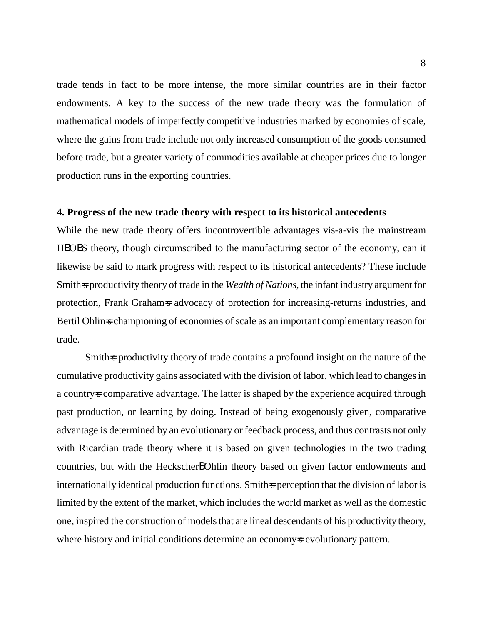trade tends in fact to be more intense, the more similar countries are in their factor endowments. A key to the success of the new trade theory was the formulation of mathematical models of imperfectly competitive industries marked by economies of scale, where the gains from trade include not only increased consumption of the goods consumed before trade, but a greater variety of commodities available at cheaper prices due to longer production runs in the exporting countries.

#### **4. Progress of the new trade theory with respect to its historical antecedents**

While the new trade theory offers incontrovertible advantages vis-a-vis the mainstream HBOBS theory, though circumscribed to the manufacturing sector of the economy, can it likewise be said to mark progress with respect to its historical antecedents? These include Smith=s productivity theory of trade in the *Wealth of Nations*, the infant industry argument for protection, Frank Graham=s advocacy of protection for increasing-returns industries, and Bertil Ohlin=s championing of economies of scale as an important complementary reason for trade.

Smith=s productivity theory of trade contains a profound insight on the nature of the cumulative productivity gains associated with the division of labor, which lead to changes in a country=s comparative advantage. The latter is shaped by the experience acquired through past production, or learning by doing. Instead of being exogenously given, comparative advantage is determined by an evolutionary or feedback process, and thus contrasts not only with Ricardian trade theory where it is based on given technologies in the two trading countries, but with the HeckscherBOhlin theory based on given factor endowments and internationally identical production functions. Smith=s perception that the division of labor is limited by the extent of the market, which includes the world market as well as the domestic one, inspired the construction of models that are lineal descendants of his productivity theory, where history and initial conditions determine an economy-s evolutionary pattern.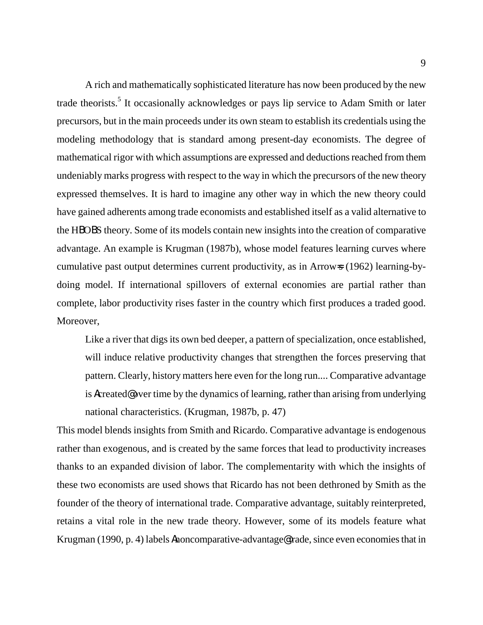A rich and mathematically sophisticated literature has now been produced by the new trade theorists.<sup>5</sup> It occasionally acknowledges or pays lip service to Adam Smith or later precursors, but in the main proceeds under its own steam to establish its credentials using the modeling methodology that is standard among present-day economists. The degree of mathematical rigor with which assumptions are expressed and deductions reached from them undeniably marks progress with respect to the way in which the precursors of the new theory expressed themselves. It is hard to imagine any other way in which the new theory could have gained adherents among trade economists and established itself as a valid alternative to the HBOBS theory. Some of its models contain new insights into the creation of comparative advantage. An example is Krugman (1987b), whose model features learning curves where cumulative past output determines current productivity, as in Arrow=s (1962) learning-bydoing model. If international spillovers of external economies are partial rather than complete, labor productivity rises faster in the country which first produces a traded good. Moreover,

Like a river that digs its own bed deeper, a pattern of specialization, once established, will induce relative productivity changes that strengthen the forces preserving that pattern. Clearly, history matters here even for the long run.... Comparative advantage is Acreated@ over time by the dynamics of learning, rather than arising from underlying national characteristics. (Krugman, 1987b, p. 47)

This model blends insights from Smith and Ricardo. Comparative advantage is endogenous rather than exogenous, and is created by the same forces that lead to productivity increases thanks to an expanded division of labor. The complementarity with which the insights of these two economists are used shows that Ricardo has not been dethroned by Smith as the founder of the theory of international trade. Comparative advantage, suitably reinterpreted, retains a vital role in the new trade theory. However, some of its models feature what Krugman (1990, p. 4) labels Anoncomparative-advantage@ trade, since even economies that in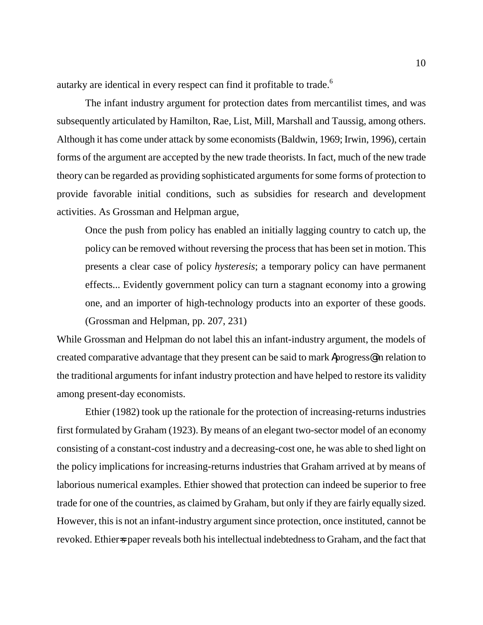autarky are identical in every respect can find it profitable to trade.<sup>6</sup>

The infant industry argument for protection dates from mercantilist times, and was subsequently articulated by Hamilton, Rae, List, Mill, Marshall and Taussig, among others. Although it has come under attack by some economists (Baldwin, 1969; Irwin, 1996), certain forms of the argument are accepted by the new trade theorists. In fact, much of the new trade theory can be regarded as providing sophisticated arguments for some forms of protection to provide favorable initial conditions, such as subsidies for research and development activities. As Grossman and Helpman argue,

Once the push from policy has enabled an initially lagging country to catch up, the policy can be removed without reversing the process that has been set in motion. This presents a clear case of policy *hysteresis*; a temporary policy can have permanent effects... Evidently government policy can turn a stagnant economy into a growing one, and an importer of high-technology products into an exporter of these goods. (Grossman and Helpman, pp. 207, 231)

While Grossman and Helpman do not label this an infant-industry argument, the models of created comparative advantage that they present can be said to mark Aprogress@ in relation to the traditional arguments for infant industry protection and have helped to restore its validity among present-day economists.

Ethier (1982) took up the rationale for the protection of increasing-returns industries first formulated by Graham (1923). By means of an elegant two-sector model of an economy consisting of a constant-cost industry and a decreasing-cost one, he was able to shed light on the policy implications for increasing-returns industries that Graham arrived at by means of laborious numerical examples. Ethier showed that protection can indeed be superior to free trade for one of the countries, as claimed by Graham, but only if they are fairly equally sized. However, this is not an infant-industry argument since protection, once instituted, cannot be revoked. Ethier=s paper reveals both his intellectual indebtedness to Graham, and the fact that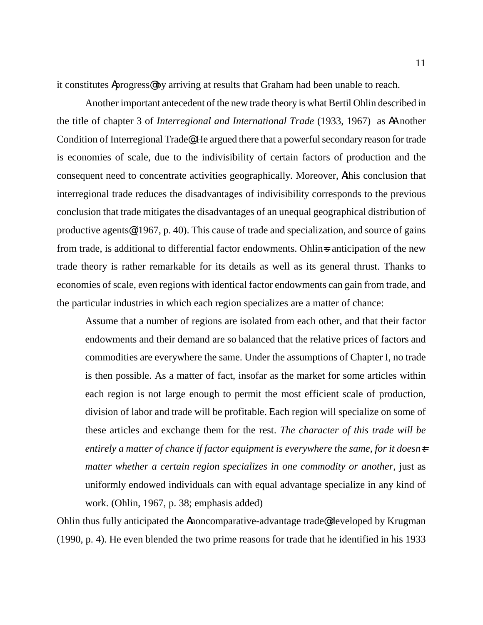it constitutes Aprogress@ by arriving at results that Graham had been unable to reach.

Another important antecedent of the new trade theory is what Bertil Ohlin described in the title of chapter 3 of *Interregional and International Trade* (1933, 1967) as AAnother Condition of Interregional Trade@. He argued there that a powerful secondary reason for trade is economies of scale, due to the indivisibility of certain factors of production and the consequent need to concentrate activities geographically. Moreover, Athis conclusion that interregional trade reduces the disadvantages of indivisibility corresponds to the previous conclusion that trade mitigates the disadvantages of an unequal geographical distribution of productive agents@ (1967, p. 40). This cause of trade and specialization, and source of gains from trade, is additional to differential factor endowments. Ohlin=s anticipation of the new trade theory is rather remarkable for its details as well as its general thrust. Thanks to economies of scale, even regions with identical factor endowments can gain from trade, and the particular industries in which each region specializes are a matter of chance:

Assume that a number of regions are isolated from each other, and that their factor endowments and their demand are so balanced that the relative prices of factors and commodities are everywhere the same. Under the assumptions of Chapter I, no trade is then possible. As a matter of fact, insofar as the market for some articles within each region is not large enough to permit the most efficient scale of production, division of labor and trade will be profitable. Each region will specialize on some of these articles and exchange them for the rest. *The character of this trade will be entirely a matter of chance if factor equipment is everywhere the same, for it doesn* $\neq$ *matter whether a certain region specializes in one commodity or another*, just as uniformly endowed individuals can with equal advantage specialize in any kind of work. (Ohlin, 1967, p. 38; emphasis added)

Ohlin thus fully anticipated the Anoncomparative-advantage trade@ developed by Krugman (1990, p. 4). He even blended the two prime reasons for trade that he identified in his 1933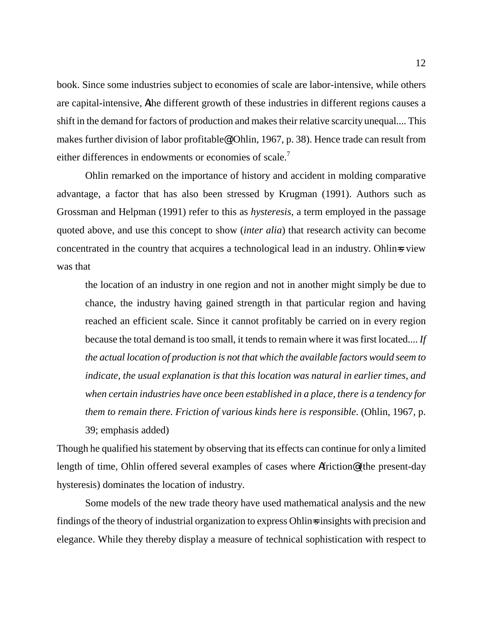book. Since some industries subject to economies of scale are labor-intensive, while others are capital-intensive, Athe different growth of these industries in different regions causes a shift in the demand for factors of production and makes their relative scarcity unequal.... This makes further division of labor profitable@ (Ohlin, 1967, p. 38). Hence trade can result from either differences in endowments or economies of scale.<sup>7</sup>

Ohlin remarked on the importance of history and accident in molding comparative advantage, a factor that has also been stressed by Krugman (1991). Authors such as Grossman and Helpman (1991) refer to this as *hysteresis*, a term employed in the passage quoted above, and use this concept to show (*inter alia*) that research activity can become concentrated in the country that acquires a technological lead in an industry. Ohlin-s view was that

the location of an industry in one region and not in another might simply be due to chance, the industry having gained strength in that particular region and having reached an efficient scale. Since it cannot profitably be carried on in every region because the total demand is too small, it tends to remain where it was first located.... *If the actual location of production is not that which the available factors would seem to indicate, the usual explanation is that this location was natural in earlier times, and when certain industries have once been established in a place, there is a tendency for them to remain there. Friction of various kinds here is responsible*. (Ohlin, 1967, p. 39; emphasis added)

Though he qualified his statement by observing that its effects can continue for only a limited length of time, Ohlin offered several examples of cases where Afriction<sup>®</sup> (the present-day hysteresis) dominates the location of industry.

Some models of the new trade theory have used mathematical analysis and the new findings of the theory of industrial organization to express Ohlin=s insights with precision and elegance. While they thereby display a measure of technical sophistication with respect to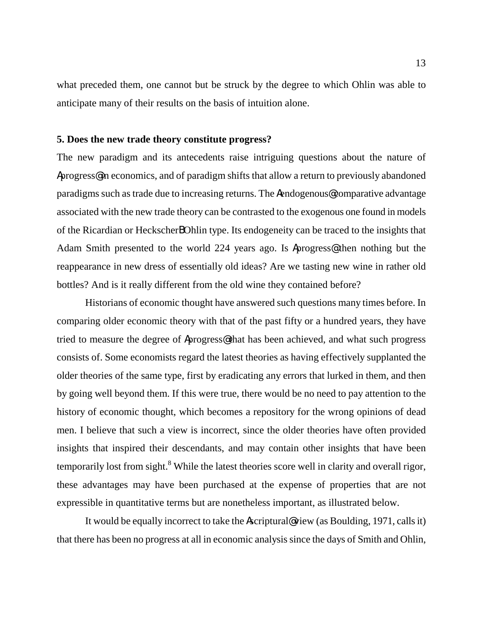what preceded them, one cannot but be struck by the degree to which Ohlin was able to anticipate many of their results on the basis of intuition alone.

#### **5. Does the new trade theory constitute progress?**

The new paradigm and its antecedents raise intriguing questions about the nature of Aprogress<sup>®</sup> in economics, and of paradigm shifts that allow a return to previously abandoned paradigms such as trade due to increasing returns. The Aendogenous@ comparative advantage associated with the new trade theory can be contrasted to the exogenous one found in models of the Ricardian or HeckscherBOhlin type. Its endogeneity can be traced to the insights that Adam Smith presented to the world 224 years ago. Is Aprogress<sup>®</sup> then nothing but the reappearance in new dress of essentially old ideas? Are we tasting new wine in rather old bottles? And is it really different from the old wine they contained before?

Historians of economic thought have answered such questions many times before. In comparing older economic theory with that of the past fifty or a hundred years, they have tried to measure the degree of Aprogress<sup>®</sup> that has been achieved, and what such progress consists of. Some economists regard the latest theories as having effectively supplanted the older theories of the same type, first by eradicating any errors that lurked in them, and then by going well beyond them. If this were true, there would be no need to pay attention to the history of economic thought, which becomes a repository for the wrong opinions of dead men. I believe that such a view is incorrect, since the older theories have often provided insights that inspired their descendants, and may contain other insights that have been temporarily lost from sight.<sup>8</sup> While the latest theories score well in clarity and overall rigor, these advantages may have been purchased at the expense of properties that are not expressible in quantitative terms but are nonetheless important, as illustrated below.

It would be equally incorrect to take the Ascriptural view (as Boulding, 1971, calls it) that there has been no progress at all in economic analysis since the days of Smith and Ohlin,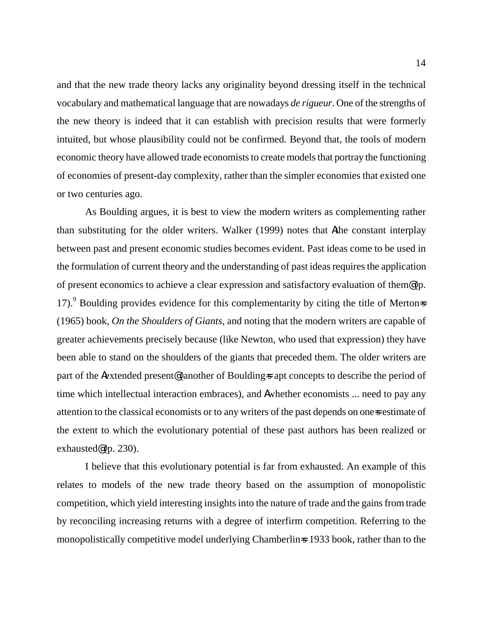and that the new trade theory lacks any originality beyond dressing itself in the technical vocabulary and mathematical language that are nowadays *de rigueur*. One of the strengths of the new theory is indeed that it can establish with precision results that were formerly intuited, but whose plausibility could not be confirmed. Beyond that, the tools of modern economic theory have allowed trade economists to create models that portray the functioning of economies of present-day complexity, rather than the simpler economies that existed one or two centuries ago.

As Boulding argues, it is best to view the modern writers as complementing rather than substituting for the older writers. Walker (1999) notes that Athe constant interplay between past and present economic studies becomes evident. Past ideas come to be used in the formulation of current theory and the understanding of past ideas requires the application of present economics to achieve a clear expression and satisfactory evaluation of them<sup>o</sup> (p. 17).<sup>9</sup> Boulding provides evidence for this complementarity by citing the title of Merton-s (1965) book, *On the Shoulders of Giants*, and noting that the modern writers are capable of greater achievements precisely because (like Newton, who used that expression) they have been able to stand on the shoulders of the giants that preceded them. The older writers are part of the Aextended present@ (another of Boulding=s apt concepts to describe the period of time which intellectual interaction embraces), and Awhether economists ... need to pay any attention to the classical economists or to any writers of the past depends on one=s estimate of the extent to which the evolutionary potential of these past authors has been realized or exhausted<sup> $\omega$ </sup> (p. 230).

I believe that this evolutionary potential is far from exhausted. An example of this relates to models of the new trade theory based on the assumption of monopolistic competition, which yield interesting insights into the nature of trade and the gains from trade by reconciling increasing returns with a degree of interfirm competition. Referring to the monopolistically competitive model underlying Chamberlin=s 1933 book, rather than to the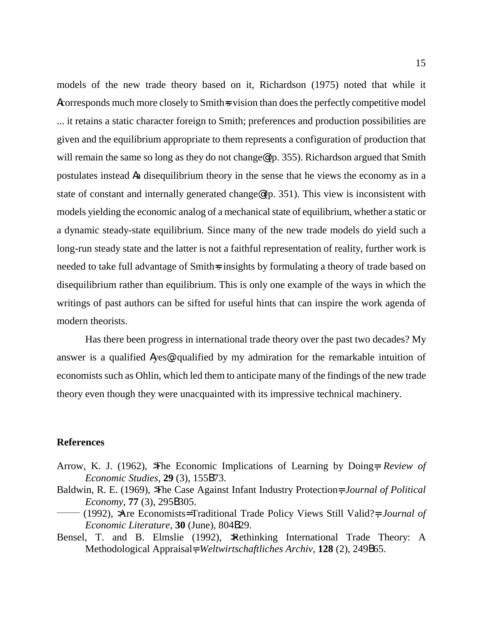models of the new trade theory based on it, Richardson (1975) noted that while it Acorresponds much more closely to Smith=s vision than does the perfectly competitive model ... it retains a static character foreign to Smith; preferences and production possibilities are given and the equilibrium appropriate to them represents a configuration of production that will remain the same so long as they do not change (p. 355). Richardson argued that Smith postulates instead Aa disequilibrium theory in the sense that he views the economy as in a state of constant and internally generated change<sup>®</sup> (p. 351). This view is inconsistent with models yielding the economic analog of a mechanical state of equilibrium, whether a static or a dynamic steady-state equilibrium. Since many of the new trade models do yield such a long-run steady state and the latter is not a faithful representation of reality, further work is needed to take full advantage of Smith=s insights by formulating a theory of trade based on disequilibrium rather than equilibrium. This is only one example of the ways in which the writings of past authors can be sifted for useful hints that can inspire the work agenda of modern theorists.

Has there been progress in international trade theory over the past two decades? My answer is a qualified Ayes@, qualified by my admiration for the remarkable intuition of economists such as Ohlin, which led them to anticipate many of the findings of the new trade theory even though they were unacquainted with its impressive technical machinery.

### **References**

- Arrow, K. J. (1962), >The Economic Implications of Learning by Doing=, *Review of Economic Studies*, **29** (3), 155B73.
- Baldwin, R. E. (1969), >The Case Against Infant Industry Protection=, *Journal of Political Economy*, **77** (3), 295B305.<br> *—* (1992), >Are Economists= Traditional Trade Policy Views Still Valid?=, *Journal of*
- *Economic Literature*, **30** (June), 804B29.
- Bensel, T. and B. Elmslie (1992), <sub>Rethinking</sub> International Trade Theory: A Methodological Appraisal=, *Weltwirtschaftliches Archiv,* **128** (2), 249B65.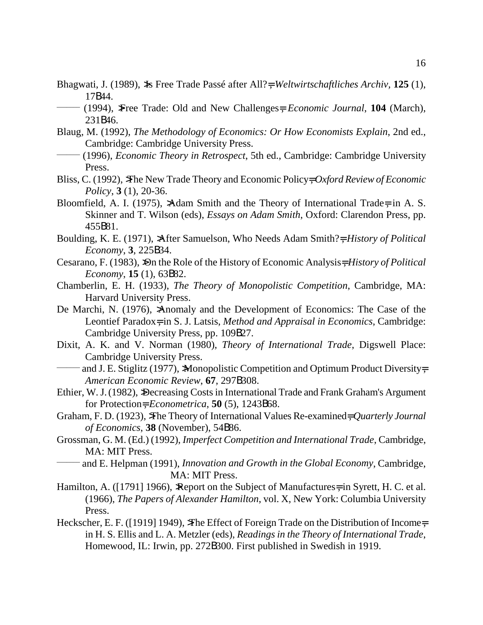- Bhagwati, J. (1989), >Is Free Trade Passé after All?=, *Weltwirtschaftliches Archiv,* **125** (1), 17B44.<br>(1994), *Free Trade: Old and New Challenges=, <i>Economic Journal*, **104** (March),
- 231B46.
- Blaug, M. (1992), *The Methodology of Economics: Or How Economists Explain*, 2nd ed., Cambridge: Cambridge University Press.<br>(1996), *Economic Theory in Retrospect*, 5th ed., Cambridge: Cambridge University
- Press.
- Bliss, C. (1992), >The New Trade Theory and Economic Policy=, *Oxford Review of Economic Policy*, **3** (1), 20-36.
- Bloomfield, A. I. (1975), >Adam Smith and the Theory of International Trade=, in A. S. Skinner and T. Wilson (eds), *Essays on Adam Smith*, Oxford: Clarendon Press, pp. 455B81.
- Boulding, K. E. (1971), >After Samuelson, Who Needs Adam Smith?=, *History of Political Economy*, **3**, 225B34.
- Cesarano, F. (1983), >On the Role of the History of Economic Analysis=, *History of Political Economy*, **15** (1), 63B82.
- Chamberlin, E. H. (1933), *The Theory of Monopolistic Competition*, Cambridge, MA: Harvard University Press.
- De Marchi, N. (1976), >Anomaly and the Development of Economics: The Case of the Leontief Paradox=, in S. J. Latsis, *Method and Appraisal in Economics*, Cambridge: Cambridge University Press, pp. 109B27.
- Dixit, A. K. and V. Norman (1980), *Theory of International Trade*, Digswell Place: Cambridge University Press.<br>and J. E. Stiglitz (1977), >Monopolistic Competition and Optimum Product Diversity=,
- *American Economic Review*, **67**, 297B308.
- Ethier, W. J.(1982), >Decreasing Costs in International Trade and Frank Graham's Argument for Protection=, *Econometrica*, **50** (5), 1243B68.
- Graham, F. D. (1923), >The Theory of International Values Re-examined=, *Quarterly Journal of Economics*, **38** (November), 54B86.
- Grossman, G. M. (Ed.) (1992), *Imperfect Competition and International Trade*, Cambridge, MA: MIT Press.<br>and E. Helpman (1991), *Innovation and Growth in the Global Economy*, Cambridge,
- MA: MIT Press.
- Hamilton, A. ([1791] 1966), Report on the Subject of Manufactures=, in Syrett, H. C. et al. (1966), *The Papers of Alexander Hamilton*, vol. X, New York: Columbia University Press.
- Heckscher, E. F. ([1919] 1949), >The Effect of Foreign Trade on the Distribution of Income=, in H. S. Ellis and L. A. Metzler (eds), *Readings in the Theory of International Trade*, Homewood, IL: Irwin, pp. 272B300. First published in Swedish in 1919.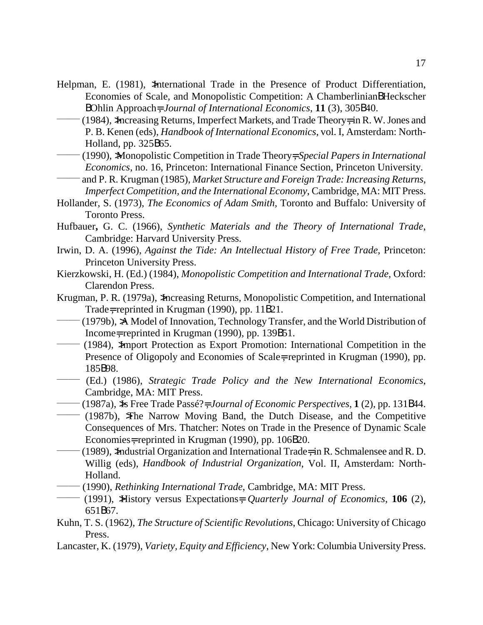- Helpman, E. (1981), *M*iternational Trade in the Presence of Product Differentiation, Economies of Scale, and Monopolistic Competition: A ChamberlinianBHeckscher BOhlin Approach=, *Journal of International Economics*, **11** (3), 305B40.<br>(1984), >Increasing Returns, Imperfect Markets, and Trade Theory=, in R. W. Jones and
- P. B. Kenen (eds), *Handbook of International Economics*, vol. I, Amsterdam: North-
- Holland, pp. 325B65.<br>
(1990), >Monopolistic Competition in Trade Theory=, *Special Papers in International Economics*, no. 16, Princeton: International Finance Section, Princeton University.
- and P. R. Krugman (1985), *Market Structure and Foreign Trade: Increasing Returns, Imperfect Competition, and the International Economy*, Cambridge, MA: MIT Press.
- Hollander, S. (1973), *The Economics of Adam Smith*, Toronto and Buffalo: University of Toronto Press.
- Hufbauer**,** G. C. (1966), *Synthetic Materials and the Theory of International Trade*, Cambridge: Harvard University Press.
- Irwin, D. A. (1996), *Against the Tide: An Intellectual History of Free Trade*, Princeton: Princeton University Press.
- Kierzkowski, H. (Ed.) (1984), *Monopolistic Competition and International Trade*, Oxford: Clarendon Press.
- Krugman, P. R. (1979a), Mncreasing Returns, Monopolistic Competition, and International Trade=, reprinted in Krugman (1990), pp. 11B21.<br>(1979b), >A Model of Innovation, Technology Transfer, and the World Distribution of
- Income=, reprinted in Krugman (1990), pp. 139B51.<br>(1984), >Import Protection as Export Promotion: International Competition in the
- Presence of Oligopoly and Economies of Scale=, reprinted in Krugman (1990), pp. <sup>185</sup>B98. \_\_\_\_\_\_\_ (Ed.) (1986), *Strategic Trade Policy and the New International Economics*,
- Cambridge, MA: MIT Press.<br>
 (1987a), >Is Free Trade Passé?=, *Journal of Economic Perspectives*, **1** (2), pp. 131B44.<br>
 (1987b), >The Narrow Moving Band, the Dutch Disease, and the Competitive
- 
- Consequences of Mrs. Thatcher: Notes on Trade in the Presence of Dynamic Scale Economies=, reprinted in Krugman (1990), pp. 106B20.<br>(1989), >Industrial Organization and International Trade=, in R. Schmalensee and R. D.
- Willig (eds), *Handbook of Industrial Organization*, Vol. II, Amsterdam: North-Holland.<br>
—— (1990), *Rethinking International Trade*, Cambridge, MA: MIT Press.<br>
—— (1991), >History versus Expectations=, *Quarterly Journal of Economics*, **106** (2),
- 
- 651B67.
- Kuhn, T. S. (1962), *The Structure of Scientific Revolutions*, Chicago: University of Chicago Press.
- Lancaster, K. (1979), *Variety, Equity and Efficiency*, New York: Columbia University Press.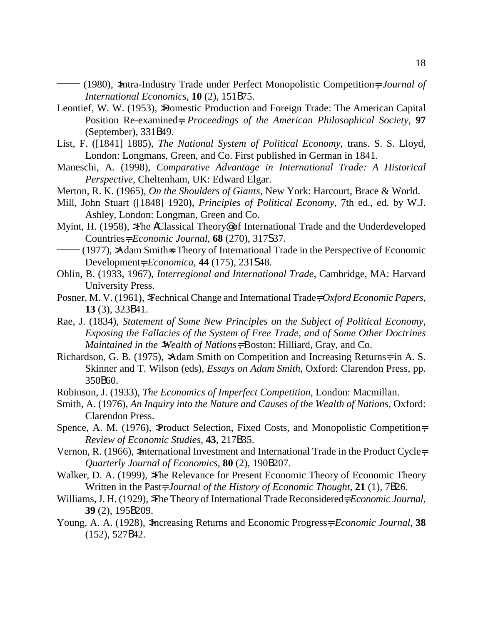\_\_\_\_\_\_\_ (1980), >Intra-Industry Trade under Perfect Monopolistic Competition=, *Journal of International Economics*, **10** (2), 151B75.

- Leontief, W. W. (1953), >Domestic Production and Foreign Trade: The American Capital Position Re-examined=, *Proceedings of the American Philosophical Society,* **97** (September), 331B49.
- List, F. ([1841] 1885), *The National System of Political Economy*, trans. S. S. Lloyd, London: Longmans, Green, and Co. First published in German in 1841.
- Maneschi, A. (1998), *Comparative Advantage in International Trade: A Historical Perspective*, Cheltenham, UK: Edward Elgar.
- Merton, R. K. (1965), *On the Shoulders of Giants*, New York: Harcourt, Brace & World.
- Mill, John Stuart ([1848] 1920), *Principles of Political Economy*, 7th ed., ed. by W.J. Ashley, London: Longman, Green and Co.
- Myint, H. (1958), >The AClassical Theory@ of International Trade and the Underdeveloped Countries=, *Economic Journal*, **68** (270), 317S37.<br>(1977), >Adam Smith=s Theory of International Trade in the Perspective of Economic
- Development=, *Economica*, **44** (175), 231S48.
- Ohlin, B. (1933, 1967), *Interregional and International Trade*, Cambridge, MA: Harvard University Press.
- Posner, M. V. (1961), >Technical Change and International Trade=, *Oxford Economic Papers*, **13** (3), 323B41.
- Rae, J. (1834), *Statement of Some New Principles on the Subject of Political Economy, Exposing the Fallacies of the System of Free Trade, and of Some Other Doctrines Maintained in the* >*Wealth of Nations*=, Boston: Hilliard, Gray, and Co.
- Richardson, G. B. (1975), >Adam Smith on Competition and Increasing Returns=, in A. S. Skinner and T. Wilson (eds), *Essays on Adam Smith*, Oxford: Clarendon Press, pp. 350B60.
- Robinson, J. (1933), *The Economics of Imperfect Competition*, London: Macmillan.
- Smith, A. (1976), *An Inquiry into the Nature and Causes of the Wealth of Nations*, Oxford: Clarendon Press.
- Spence, A. M. (1976), *Product Selection*, Fixed Costs, and Monopolistic Competition=, *Review of Economic Studies*, **43**, 217B35.
- Vernon, R. (1966), >International Investment and International Trade in the Product Cycle=, *Quarterly Journal of Economics*, **80** (2), 190B207.
- Walker, D. A. (1999), >The Relevance for Present Economic Theory of Economic Theory Written in the Past=, *Journal of the History of Economic Thought*, **21** (1), 7B26.
- Williams, J. H. (1929), >The Theory of International Trade Reconsidered=, *Economic Journal,*  **39** (2), 195B209.
- Young, A. A. (1928), >Increasing Returns and Economic Progress=, *Economic Journal,* **38** (152), 527B42.